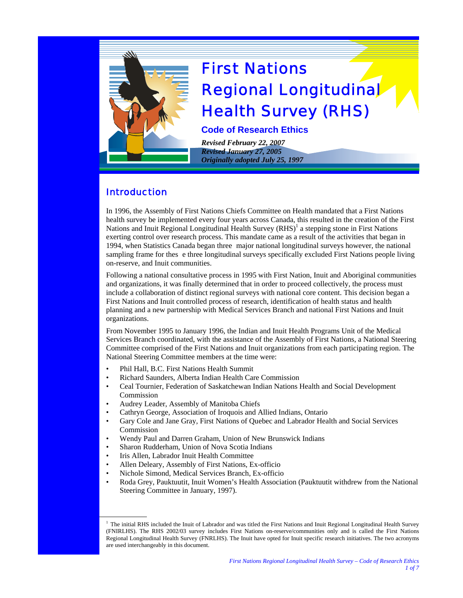

# First Nations Regional Longitudinal Health Survey (RHS)

**Code of Research Ethics** 

*Revised February 22, 2007 Revised January 27, 2005 Originally adopted July 25, 1997* 

# Introduction

In 1996, the Assembly of First Nations Chiefs Committee on Health mandated that a First Nations health survey be implemented every four years across Canada, this resulted in the creation of the First Nations and Inuit Regional Longitudinal Health Survey (RHS)<sup>1</sup> a stepping stone in First Nations exerting control over research process. This mandate came as a result of the activities that began in 1994, when Statistics Canada began three major national longitudinal surveys however, the national sampling frame for thes e three longitudinal surveys specifically excluded First Nations people living on-reserve, and Inuit communities.

Following a national consultative process in 1995 with First Nation, Inuit and Aboriginal communities and organizations, it was finally determined that in order to proceed collectively, the process must include a collaboration of distinct regional surveys with national core content. This decision began a First Nations and Inuit controlled process of research, identification of health status and health planning and a new partnership with Medical Services Branch and national First Nations and Inuit organizations.

From November 1995 to January 1996, the Indian and Inuit Health Programs Unit of the Medical Services Branch coordinated, with the assistance of the Assembly of First Nations, a National Steering Committee comprised of the First Nations and Inuit organizations from each participating region. The National Steering Committee members at the time were:

- Phil Hall, B.C. First Nations Health Summit
- Richard Saunders, Alberta Indian Health Care Commission

E

- Ceal Tournier, Federation of Saskatchewan Indian Nations Health and Social Development Commission
- Audrey Leader, Assembly of Manitoba Chiefs
- Cathryn George, Association of Iroquois and Allied Indians, Ontario
- Gary Cole and Jane Gray, First Nations of Quebec and Labrador Health and Social Services **Commission**
- Wendy Paul and Darren Graham, Union of New Brunswick Indians
- Sharon Rudderham, Union of Nova Scotia Indians
- Iris Allen, Labrador Inuit Health Committee
- Allen Deleary, Assembly of First Nations, Ex-officio
- Nichole Simond, Medical Services Branch, Ex-officio
- Roda Grey, Pauktuutit, Inuit Women's Health Association (Pauktuutit withdrew from the National Steering Committee in January, 1997).

<sup>&</sup>lt;sup>1</sup> The initial RHS included the Inuit of Labrador and was titled the First Nations and Inuit Regional Longitudinal Health Survey (FNIRLHS). The RHS 2002/03 survey includes First Nations on-reserve/communities only and is called the First Nations Regional Longitudinal Health Survey (FNRLHS). The Inuit have opted for Inuit specific research initiatives. The two acronyms are used interchangeably in this document.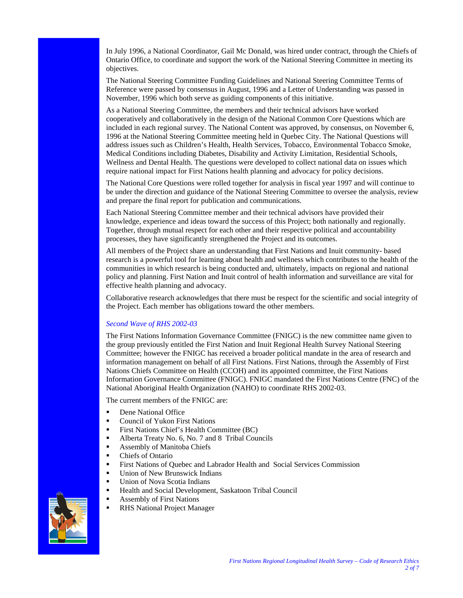In July 1996, a National Coordinator, Gail Mc Donald, was hired under contract, through the Chiefs of Ontario Office, to coordinate and support the work of the National Steering Committee in meeting its objectives.

The National Steering Committee Funding Guidelines and National Steering Committee Terms of Reference were passed by consensus in August, 1996 and a Letter of Understanding was passed in November, 1996 which both serve as guiding components of this initiative.

As a National Steering Committee, the members and their technical advisors have worked cooperatively and collaboratively in the design of the National Common Core Questions which are included in each regional survey. The National Content was approved, by consensus, on November 6, 1996 at the National Steering Committee meeting held in Quebec City. The National Questions will address issues such as Children's Health, Health Services, Tobacco, Environmental Tobacco Smoke, Medical Conditions including Diabetes, Disability and Activity Limitation, Residential Schools, Wellness and Dental Health. The questions were developed to collect national data on issues which require national impact for First Nations health planning and advocacy for policy decisions.

The National Core Questions were rolled together for analysis in fiscal year 1997 and will continue to be under the direction and guidance of the National Steering Committee to oversee the analysis, review and prepare the final report for publication and communications.

Each National Steering Committee member and their technical advisors have provided their knowledge, experience and ideas toward the success of this Project; both nationally and regionally. Together, through mutual respect for each other and their respective political and accountability processes, they have significantly strengthened the Project and its outcomes.

All members of the Project share an understanding that First Nations and Inuit community- based research is a powerful tool for learning about health and wellness which contributes to the health of the communities in which research is being conducted and, ultimately, impacts on regional and national policy and planning. First Nation and Inuit control of health information and surveillance are vital for effective health planning and advocacy.

Collaborative research acknowledges that there must be respect for the scientific and social integrity of the Project. Each member has obligations toward the other members.

# *Second Wave of RHS 2002-03*

The First Nations Information Governance Committee (FNIGC) is the new committee name given to the group previously entitled the First Nation and Inuit Regional Health Survey National Steering Committee; however the FNIGC has received a broader political mandate in the area of research and information management on behalf of all First Nations. First Nations, through the Assembly of First Nations Chiefs Committee on Health (CCOH) and its appointed committee, the First Nations Information Governance Committee (FNIGC). FNIGC mandated the First Nations Centre (FNC) of the National Aboriginal Health Organization (NAHO) to coordinate RHS 2002-03.

The current members of the FNIGC are:

- **•** Dene National Office
- Council of Yukon First Nations
- First Nations Chief's Health Committee (BC)
- Alberta Treaty No. 6, No. 7 and 8 Tribal Councils
- Assembly of Manitoba Chiefs
- **Chiefs of Ontario**
- **First Nations of Quebec and Labrador Health and Social Services Commission**
- Union of New Brunswick Indians
- Union of Nova Scotia Indians
- Health and Social Development, Saskatoon Tribal Council
- Assembly of First Nations
- RHS National Project Manager

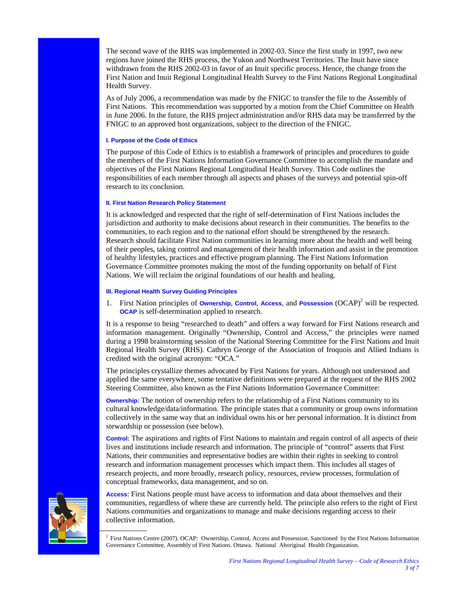The second wave of the RHS was implemented in 2002-03. Since the first study in 1997, two new regions have joined the RHS process, the Yukon and Northwest Territories. The Inuit have since withdrawn from the RHS 2002-03 in favor of an Inuit specific process. Hence, the change from the First Nation and Inuit Regional Longitudinal Health Survey to the First Nations Regional Longitudinal Health Survey.

As of July 2006, a recommendation was made by the FNIGC to transfer the file to the Assembly of First Nations. This recommendation was supported by a motion from the Chief Committee on Health in June 2006. In the future, the RHS project administration and/or RHS data may be transferred by the FNIGC to an approved host organizations, subject to the direction of the FNIGC.

#### **I. Purpose of the Code of Ethics**

The purpose of this Code of Ethics is to establish a framework of principles and procedures to guide the members of the First Nations Information Governance Committee to accomplish the mandate and objectives of the First Nations Regional Longitudinal Health Survey. This Code outlines the responsibilities of each member through all aspects and phases of the surveys and potential spin-off research to its conclusion.

#### **II. First Nation Research Policy Statement**

It is acknowledged and respected that the right of self-determination of First Nations includes the jurisdiction and authority to make decisions about research in their communities. The benefits to the communities, to each region and to the national effort should be strengthened by the research. Research should facilitate First Nation communities in learning more about the health and well being of their peoples, taking control and management of their health information and assist in the promotion of healthy lifestyles, practices and effective program planning. The First Nations Information Governance Committee promotes making the most of the funding opportunity on behalf of First Nations. We will reclaim the original foundations of our health and healing.

#### **III. Regional Health Survey Guiding Principles**

1. First Nation principles of **Ownership**, **Control**, **Access**, and **Possession** (OCAP)<sup>2</sup> will be respected. **OCAP** is self-determination applied to research.

It is a response to being "researched to death" and offers a way forward for First Nations research and information management. Originally "Ownership, Control and Access," the principles were named during a 1998 brainstorming session of the National Steering Committee for the First Nations and Inuit Regional Health Survey (RHS). Cathryn George of the Association of Iroquois and Allied Indians is credited with the original acronym: "OCA."

The principles crystallize themes advocated by First Nations for years. Although not understood and applied the same everywhere, some tentative definitions were prepared at the request of the RHS 2002 Steering Committee, also known as the First Nations Information Governance Committee:

**Ownership:** The notion of ownership refers to the relationship of a First Nations community to its cultural knowledge/data/information. The principle states that a community or group owns information collectively in the same way that an individual owns his or her personal information. It is distinct from stewardship or possession (see below).

**Control:** The aspirations and rights of First Nations to maintain and regain control of all aspects of their lives and institutions include research and information. The principle of "control" asserts that First Nations, their communities and representative bodies are within their rights in seeking to control research and information management processes which impact them. This includes all stages of research projects, and more broadly, research policy, resources, review processes, formulation of conceptual frameworks, data management, and so on.

**Access:** First Nations people must have access to information and data about themselves and their communities, regardless of where these are currently held. The principle also refers to the right of First Nations communities and organizations to manage and make decisions regarding access to their collective information.



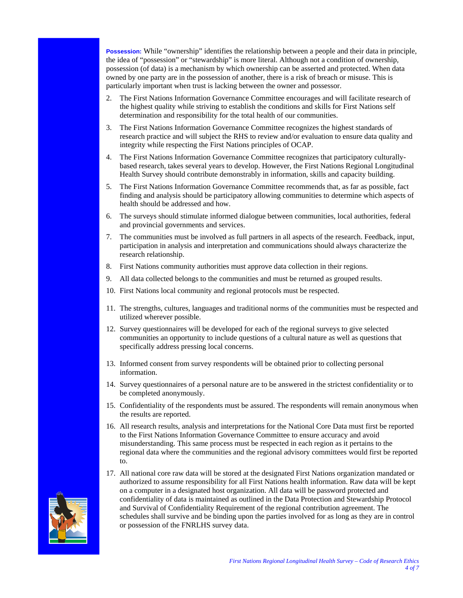**Possession:** While "ownership" identifies the relationship between a people and their data in principle, the idea of "possession" or "stewardship" is more literal. Although not a condition of ownership, possession (of data) is a mechanism by which ownership can be asserted and protected. When data owned by one party are in the possession of another, there is a risk of breach or misuse. This is particularly important when trust is lacking between the owner and possessor.

- 2. The First Nations Information Governance Committee encourages and will facilitate research of the highest quality while striving to establish the conditions and skills for First Nations self determination and responsibility for the total health of our communities.
- 3. The First Nations Information Governance Committee recognizes the highest standards of research practice and will subject the RHS to review and/or evaluation to ensure data quality and integrity while respecting the First Nations principles of OCAP.
- 4. The First Nations Information Governance Committee recognizes that participatory culturallybased research, takes several years to develop. However, the First Nations Regional Longitudinal Health Survey should contribute demonstrably in information, skills and capacity building.
- 5. The First Nations Information Governance Committee recommends that, as far as possible, fact finding and analysis should be participatory allowing communities to determine which aspects of health should be addressed and how.
- 6. The surveys should stimulate informed dialogue between communities, local authorities, federal and provincial governments and services.
- 7. The communities must be involved as full partners in all aspects of the research. Feedback, input, participation in analysis and interpretation and communications should always characterize the research relationship.
- 8. First Nations community authorities must approve data collection in their regions.
- 9. All data collected belongs to the communities and must be returned as grouped results.
- 10. First Nations local community and regional protocols must be respected.
- 11. The strengths, cultures, languages and traditional norms of the communities must be respected and utilized wherever possible.
- 12. Survey questionnaires will be developed for each of the regional surveys to give selected communities an opportunity to include questions of a cultural nature as well as questions that specifically address pressing local concerns.
- 13. Informed consent from survey respondents will be obtained prior to collecting personal information.
- 14. Survey questionnaires of a personal nature are to be answered in the strictest confidentiality or to be completed anonymously.
- 15. Confidentiality of the respondents must be assured. The respondents will remain anonymous when the results are reported.
- 16. All research results, analysis and interpretations for the National Core Data must first be reported to the First Nations Information Governance Committee to ensure accuracy and avoid misunderstanding. This same process must be respected in each region as it pertains to the regional data where the communities and the regional advisory committees would first be reported to.
- 17. All national core raw data will be stored at the designated First Nations organization mandated or authorized to assume responsibility for all First Nations health information. Raw data will be kept on a computer in a designated host organization. All data will be password protected and confidentiality of data is maintained as outlined in the Data Protection and Stewardship Protocol and Survival of Confidentiality Requirement of the regional contribution agreement. The schedules shall survive and be binding upon the parties involved for as long as they are in control or possession of the FNRLHS survey data.

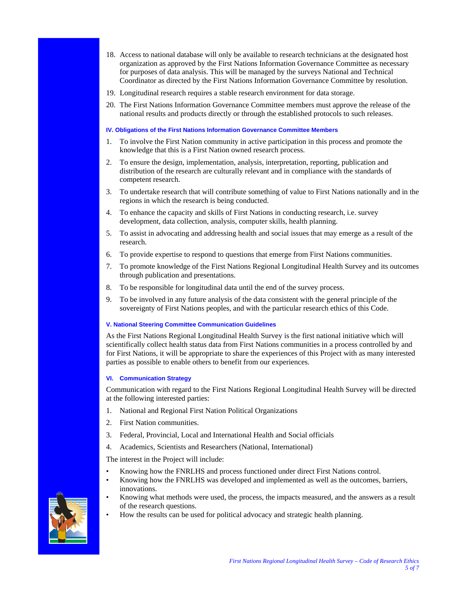- 18. Access to national database will only be available to research technicians at the designated host organization as approved by the First Nations Information Governance Committee as necessary for purposes of data analysis. This will be managed by the surveys National and Technical Coordinator as directed by the First Nations Information Governance Committee by resolution.
- 19. Longitudinal research requires a stable research environment for data storage.
- 20. The First Nations Information Governance Committee members must approve the release of the national results and products directly or through the established protocols to such releases.

# **IV. Obligations of the First Nations Information Governance Committee Members**

- 1. To involve the First Nation community in active participation in this process and promote the knowledge that this is a First Nation owned research process.
- 2. To ensure the design, implementation, analysis, interpretation, reporting, publication and distribution of the research are culturally relevant and in compliance with the standards of competent research.
- 3. To undertake research that will contribute something of value to First Nations nationally and in the regions in which the research is being conducted.
- 4. To enhance the capacity and skills of First Nations in conducting research, i.e. survey development, data collection, analysis, computer skills, health planning.
- 5. To assist in advocating and addressing health and social issues that may emerge as a result of the research.
- 6. To provide expertise to respond to questions that emerge from First Nations communities.
- 7. To promote knowledge of the First Nations Regional Longitudinal Health Survey and its outcomes through publication and presentations.
- 8. To be responsible for longitudinal data until the end of the survey process.
- 9. To be involved in any future analysis of the data consistent with the general principle of the sovereignty of First Nations peoples, and with the particular research ethics of this Code.

# **V. National Steering Committee Communication Guidelines**

As the First Nations Regional Longitudinal Health Survey is the first national initiative which will scientifically collect health status data from First Nations communities in a process controlled by and for First Nations, it will be appropriate to share the experiences of this Project with as many interested parties as possible to enable others to benefit from our experiences.

# **VI. Communication Strategy**

Communication with regard to the First Nations Regional Longitudinal Health Survey will be directed at the following interested parties:

- 1. National and Regional First Nation Political Organizations
- 2. First Nation communities.
- 3. Federal, Provincial, Local and International Health and Social officials
- 4. Academics, Scientists and Researchers (National, International)

The interest in the Project will include:

- Knowing how the FNRLHS and process functioned under direct First Nations control.
- Knowing how the FNRLHS was developed and implemented as well as the outcomes, barriers, innovations.
- Knowing what methods were used, the process, the impacts measured, and the answers as a result of the research questions.
- How the results can be used for political advocacy and strategic health planning.

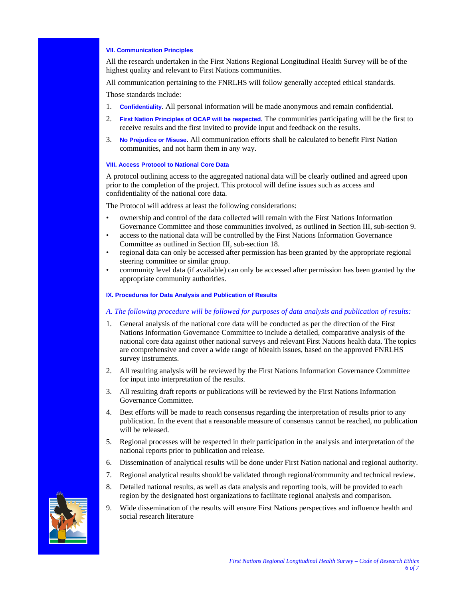#### **VII. Communication Principles**

All the research undertaken in the First Nations Regional Longitudinal Health Survey will be of the highest quality and relevant to First Nations communities.

All communication pertaining to the FNRLHS will follow generally accepted ethical standards.

Those standards include:

- 1. **Confidentiality**. All personal information will be made anonymous and remain confidential.
- 2. **First Nation Principles of OCAP will be respected**. The communities participating will be the first to receive results and the first invited to provide input and feedback on the results.
- 3. **No Prejudice or Misuse**. All communication efforts shall be calculated to benefit First Nation communities, and not harm them in any way.

#### **VIII. Access Protocol to National Core Data**

A protocol outlining access to the aggregated national data will be clearly outlined and agreed upon prior to the completion of the project. This protocol will define issues such as access and confidentiality of the national core data.

The Protocol will address at least the following considerations:

- ownership and control of the data collected will remain with the First Nations Information Governance Committee and those communities involved, as outlined in Section III, sub-section 9.
- access to the national data will be controlled by the First Nations Information Governance Committee as outlined in Section III, sub-section 18.
- regional data can only be accessed after permission has been granted by the appropriate regional steering committee or similar group.
- community level data (if available) can only be accessed after permission has been granted by the appropriate community authorities.

#### **IX. Procedures for Data Analysis and Publication of Results**

#### *A. The following procedure will be followed for purposes of data analysis and publication of results:*

- 1. General analysis of the national core data will be conducted as per the direction of the First Nations Information Governance Committee to include a detailed, comparative analysis of the national core data against other national surveys and relevant First Nations health data. The topics are comprehensive and cover a wide range of h0ealth issues, based on the approved FNRLHS survey instruments.
- 2. All resulting analysis will be reviewed by the First Nations Information Governance Committee for input into interpretation of the results.
- 3. All resulting draft reports or publications will be reviewed by the First Nations Information Governance Committee.
- 4. Best efforts will be made to reach consensus regarding the interpretation of results prior to any publication. In the event that a reasonable measure of consensus cannot be reached, no publication will be released.
- 5. Regional processes will be respected in their participation in the analysis and interpretation of the national reports prior to publication and release.
- 6. Dissemination of analytical results will be done under First Nation national and regional authority.
- 7. Regional analytical results should be validated through regional/community and technical review.
- 8. Detailed national results, as well as data analysis and reporting tools, will be provided to each region by the designated host organizations to facilitate regional analysis and comparison.
- 9. Wide dissemination of the results will ensure First Nations perspectives and influence health and social research literature